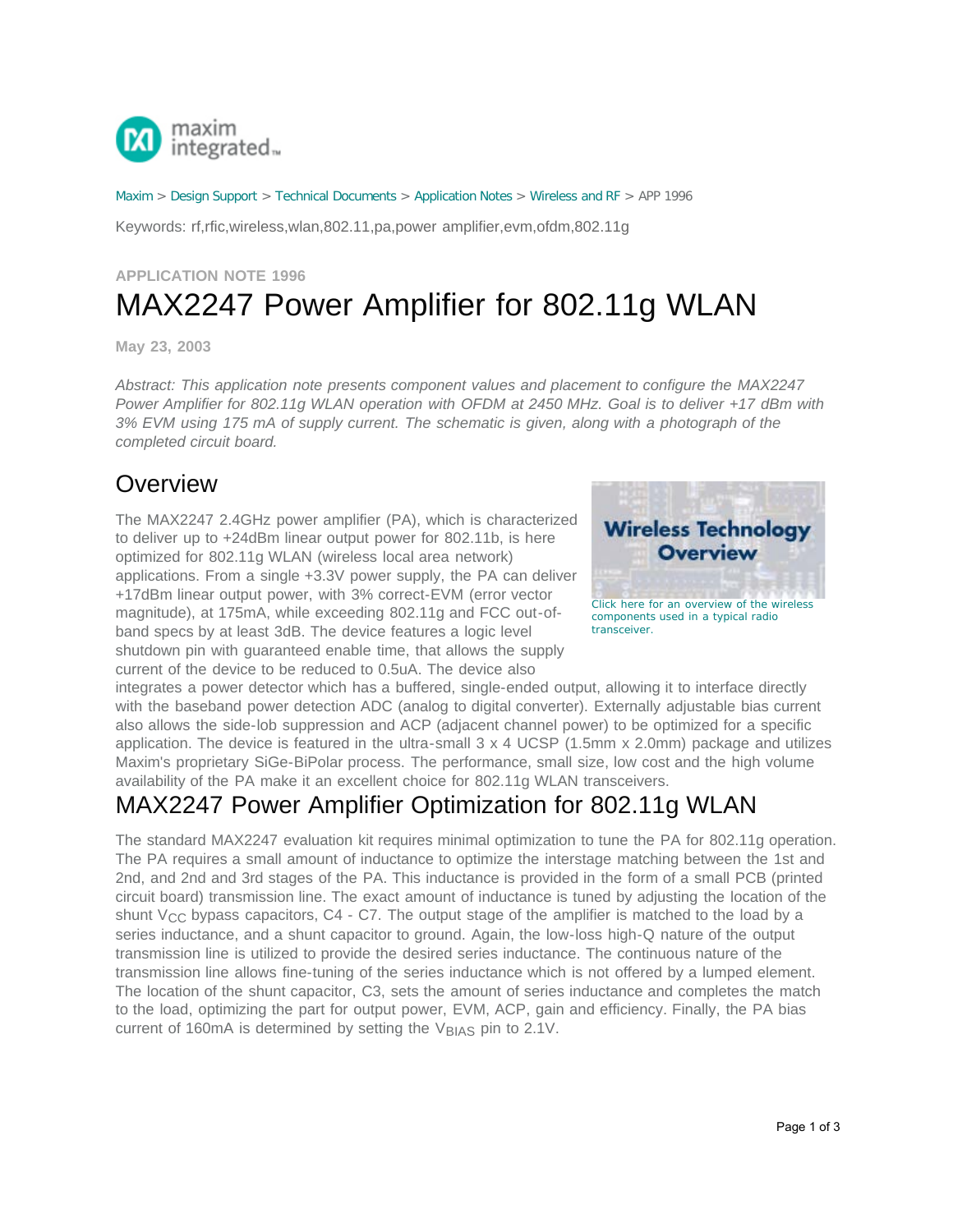

[Maxim](http://www.maximintegrated.com/) > [Design Support](http://www.maximintegrated.com/design/) > [Technical Documents](http://www.maximintegrated.com/design/techdocs/) > [Application Notes](http://www.maximintegrated.com/design/techdocs/app-notes/index.mvp) > [Wireless and RF](http://www.maximintegrated.com/design/techdocs/app-notes/index.mvp/id/38/c/Wireless%20and%20RF#c38) > APP 1996

Keywords: rf,rfic,wireless,wlan,802.11,pa,power amplifier,evm,ofdm,802.11g

## **APPLICATION NOTE 1996** MAX2247 Power Amplifier for 802.11g WLAN

**May 23, 2003**

*Abstract: This application note presents component values and placement to configure the MAX2247 Power Amplifier for 802.11g WLAN operation with OFDM at 2450 MHz. Goal is to deliver +17 dBm with 3% EVM using 175 mA of supply current. The schematic is given, along with a photograph of the completed circuit board.* 

## **Overview**

The MAX2247 2.4GHz power amplifier (PA), which is characterized to deliver up to +24dBm linear output power for 802.11b, is here optimized for 802.11g WLAN (wireless local area network) applications. From a single +3.3V power supply, the PA can deliver +17dBm linear output power, with 3% correct-EVM (error vector magnitude), at 175mA, while exceeding 802.11g and FCC out-ofband specs by at least 3dB. The device features a logic level shutdown pin with guaranteed enable time, that allows the supply current of the device to be reduced to 0.5uA. The device also



integrates a power detector which has a buffered, single-ended output, allowing it to interface directly with the baseband power detection ADC (analog to digital converter). Externally adjustable bias current also allows the side-lob suppression and ACP (adjacent channel power) to be optimized for a specific application. The device is featured in the ultra-small 3 x 4 UCSP (1.5mm x 2.0mm) package and utilizes Maxim's proprietary SiGe-BiPolar process. The performance, small size, low cost and the high volume availability of the PA make it an excellent choice for 802.11g WLAN transceivers.

## MAX2247 Power Amplifier Optimization for 802.11g WLAN

The standard MAX2247 evaluation kit requires minimal optimization to tune the PA for 802.11g operation. The PA requires a small amount of inductance to optimize the interstage matching between the 1st and 2nd, and 2nd and 3rd stages of the PA. This inductance is provided in the form of a small PCB (printed circuit board) transmission line. The exact amount of inductance is tuned by adjusting the location of the shunt  $V_{CC}$  bypass capacitors, C4 - C7. The output stage of the amplifier is matched to the load by a series inductance, and a shunt capacitor to ground. Again, the low-loss high-Q nature of the output transmission line is utilized to provide the desired series inductance. The continuous nature of the transmission line allows fine-tuning of the series inductance which is not offered by a lumped element. The location of the shunt capacitor, C3, sets the amount of series inductance and completes the match to the load, optimizing the part for output power, EVM, ACP, gain and efficiency. Finally, the PA bias current of 160mA is determined by setting the V<sub>BIAS</sub> pin to 2.1V.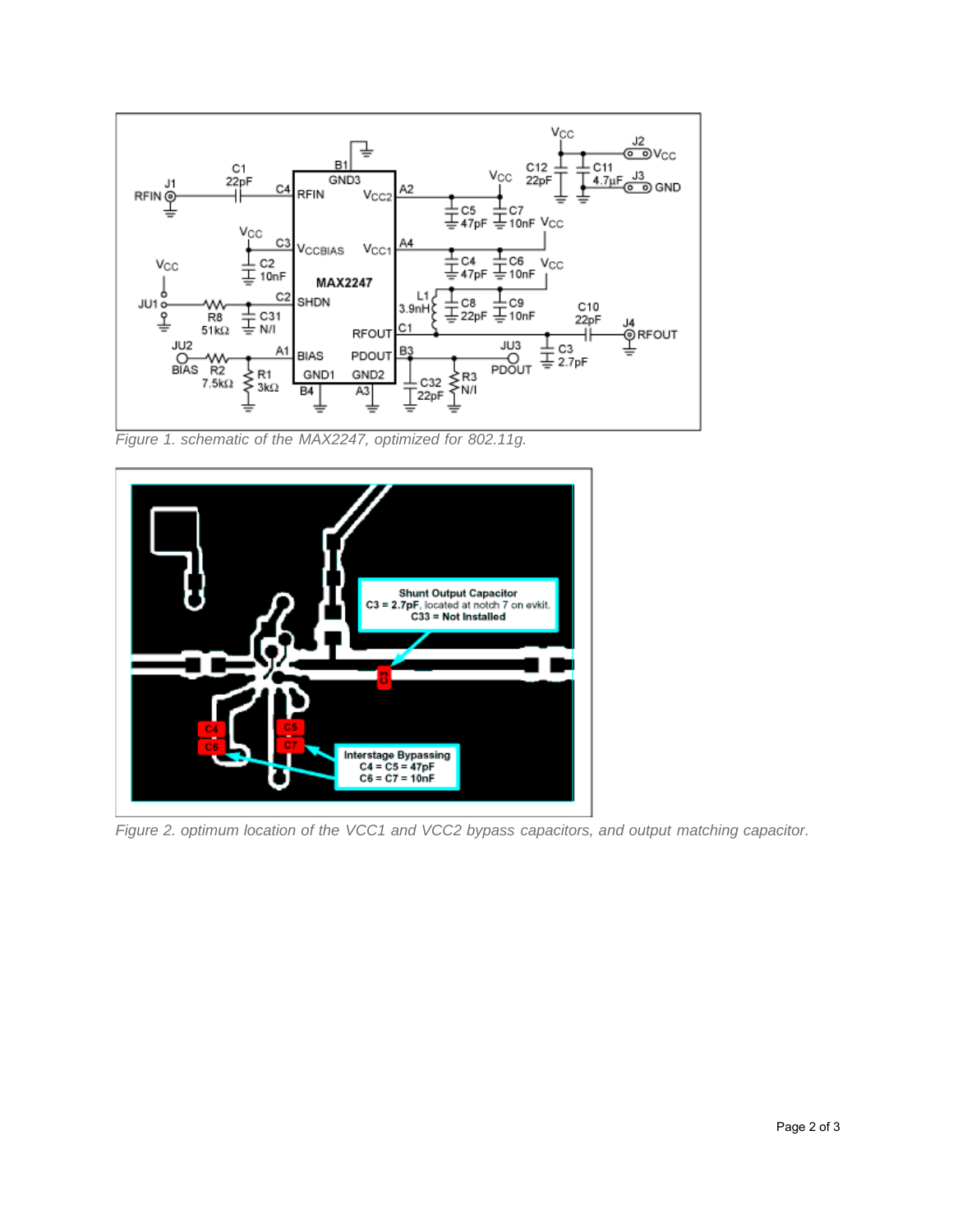

*Figure 1. schematic of the MAX2247, optimized for 802.11g.* 



*Figure 2. optimum location of the VCC1 and VCC2 bypass capacitors, and output matching capacitor.*